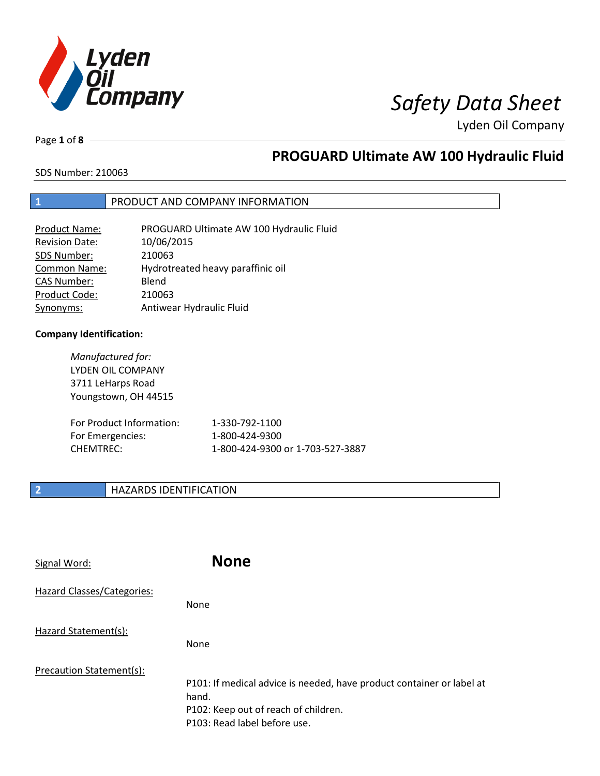

Page **1** of **8**

# **PROGUARD Ultimate AW 100 Hydraulic Fluid**

SDS Number: 210063

### **1** PRODUCT AND COMPANY INFORMATION

| Product Name:       | PROGUARD Ultimate AW 100 Hydraulic Fluid |
|---------------------|------------------------------------------|
| Revision Date:      | 10/06/2015                               |
| SDS Number:         | 210063                                   |
| <b>Common Name:</b> | Hydrotreated heavy paraffinic oil        |
| <b>CAS Number:</b>  | Blend                                    |
| Product Code:       | 210063                                   |
| Synonyms:           | Antiwear Hydraulic Fluid                 |

### **Company Identification:**

For Emergencies: CHEMTREC:

*Manufactured for:* LYDEN OIL COMPANY 3711 LeHarps Road Youngstown, OH 44515 For Product Information:

| 1-330-792-1100                   |
|----------------------------------|
| 1-800-424-9300                   |
| 1-800-424-9300 or 1-703-527-3887 |

### **2 HAZARDS IDENTIFICATION**

| Signal Word:                      | <b>None</b>                                                                                                                                            |
|-----------------------------------|--------------------------------------------------------------------------------------------------------------------------------------------------------|
| <b>Hazard Classes/Categories:</b> | None                                                                                                                                                   |
| Hazard Statement(s):              | None                                                                                                                                                   |
| Precaution Statement(s):          | P101: If medical advice is needed, have product container or label at<br>hand.<br>P102: Keep out of reach of children.<br>P103: Read label before use. |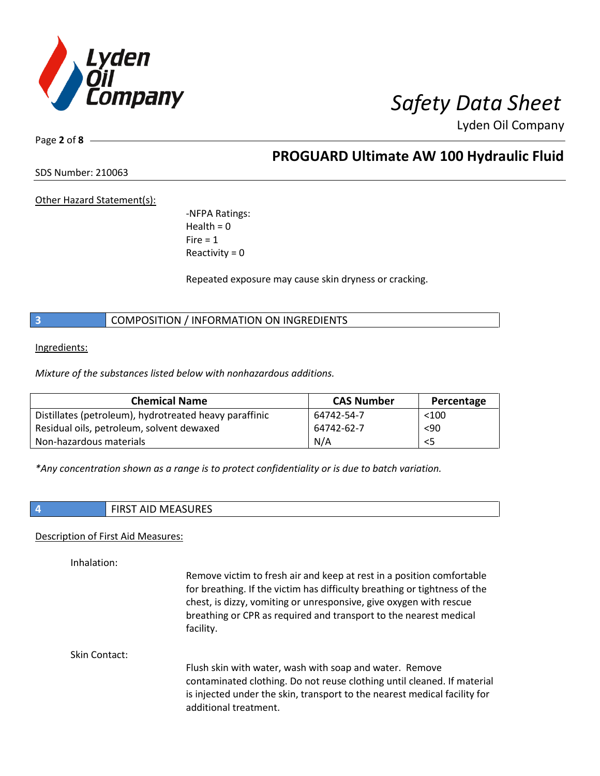

Page **2** of **8**

## **PROGUARD Ultimate AW 100 Hydraulic Fluid**

SDS Number: 210063

Other Hazard Statement(s):

-NFPA Ratings:  $Health = 0$  $Fire = 1$ Reactivity  $= 0$ 

Repeated exposure may cause skin dryness or cracking.

**3** COMPOSITION / INFORMATION ON INGREDIENTS

Ingredients:

*Mixture of the substances listed below with nonhazardous additions.*

| <b>Chemical Name</b>                                   | <b>CAS Number</b> | Percentage |
|--------------------------------------------------------|-------------------|------------|
| Distillates (petroleum), hydrotreated heavy paraffinic | 64742-54-7        | $<$ 100    |
| Residual oils, petroleum, solvent dewaxed              | 64742-62-7        | < 90       |
| Non-hazardous materials                                | N/A               | <5         |

*\*Any concentration shown as a range is to protect confidentiality or is due to batch variation.*

| ۰. |  |
|----|--|
|    |  |
|    |  |
|    |  |
|    |  |

**4** FIRST AID MEASURES

### Description of First Aid Measures:

Inhalation:

Remove victim to fresh air and keep at rest in a position comfortable for breathing. If the victim has difficulty breathing or tightness of the chest, is dizzy, vomiting or unresponsive, give oxygen with rescue breathing or CPR as required and transport to the nearest medical facility.

Skin Contact:

Flush skin with water, wash with soap and water. Remove contaminated clothing. Do not reuse clothing until cleaned. If material is injected under the skin, transport to the nearest medical facility for additional treatment.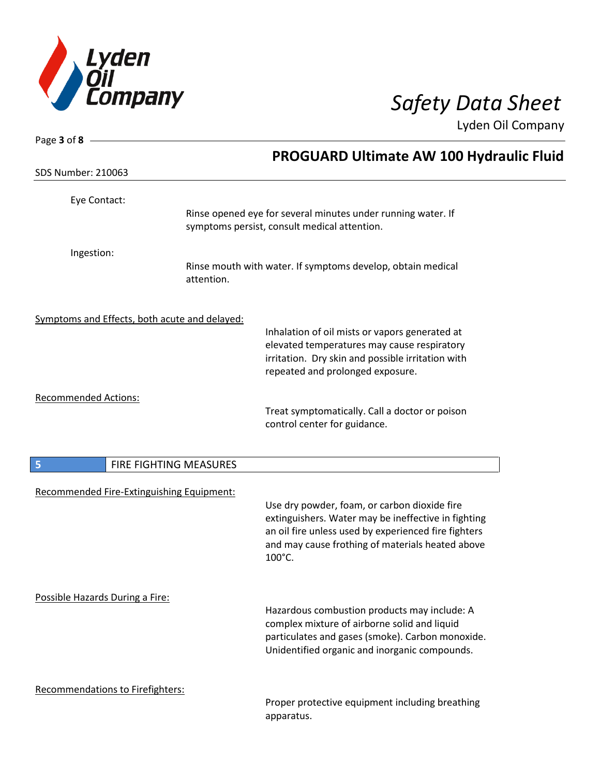

| Page 3 of 8                                   |                        |                                                                                                                                                                                                                           |  |
|-----------------------------------------------|------------------------|---------------------------------------------------------------------------------------------------------------------------------------------------------------------------------------------------------------------------|--|
|                                               |                        | PROGUARD Ultimate AW 100 Hydraulic Fluid                                                                                                                                                                                  |  |
| <b>SDS Number: 210063</b>                     |                        |                                                                                                                                                                                                                           |  |
| Eye Contact:                                  |                        |                                                                                                                                                                                                                           |  |
|                                               |                        | Rinse opened eye for several minutes under running water. If<br>symptoms persist, consult medical attention.                                                                                                              |  |
| Ingestion:                                    | attention.             | Rinse mouth with water. If symptoms develop, obtain medical                                                                                                                                                               |  |
| Symptoms and Effects, both acute and delayed: |                        |                                                                                                                                                                                                                           |  |
|                                               |                        | Inhalation of oil mists or vapors generated at<br>elevated temperatures may cause respiratory<br>irritation. Dry skin and possible irritation with<br>repeated and prolonged exposure.                                    |  |
| <b>Recommended Actions:</b>                   |                        | Treat symptomatically. Call a doctor or poison<br>control center for guidance.                                                                                                                                            |  |
| 5                                             | FIRE FIGHTING MEASURES |                                                                                                                                                                                                                           |  |
| Recommended Fire-Extinguishing Equipment:     |                        | Use dry powder, foam, or carbon dioxide fire<br>extinguishers. Water may be ineffective in fighting<br>an oil fire unless used by experienced fire fighters<br>and may cause frothing of materials heated above<br>100°C. |  |
| Possible Hazards During a Fire:               |                        | Hazardous combustion products may include: A<br>complex mixture of airborne solid and liquid<br>particulates and gases (smoke). Carbon monoxide.<br>Unidentified organic and inorganic compounds.                         |  |
| <b>Recommendations to Firefighters:</b>       |                        | Proper protective equipment including breathing                                                                                                                                                                           |  |

Proper protective equipment including breathing apparatus.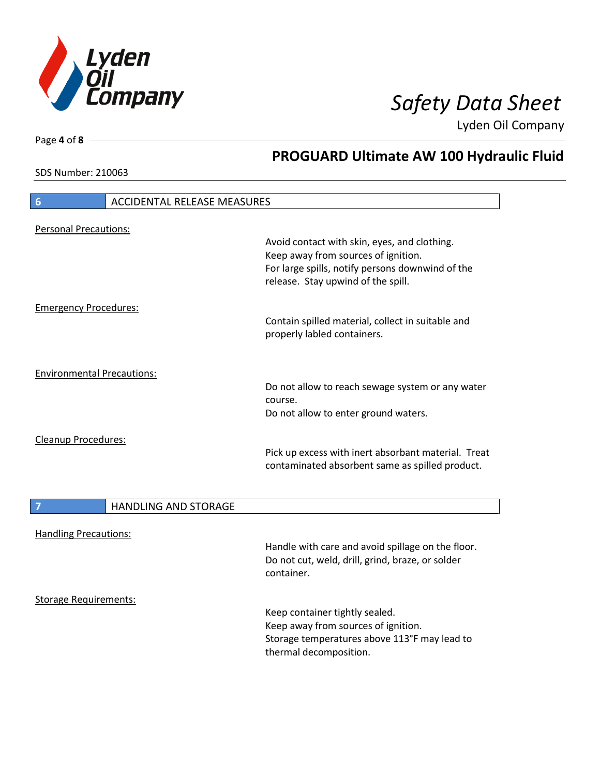

**PROGUARD Ultimate AW 100 Hydraulic Fluid**

Lyden Oil Company

SDS Number: 210063

# **6** ACCIDENTAL RELEASE MEASURES Personal Precautions: Avoid contact with skin, eyes, and clothing. Keep away from sources of ignition. For large spills, notify persons downwind of the release. Stay upwind of the spill. Emergency Procedures: Contain spilled material, collect in suitable and properly labled containers. Environmental Precautions: Do not allow to reach sewage system or any water course. Do not allow to enter ground waters. Cleanup Procedures: Pick up excess with inert absorbant material. Treat contaminated absorbent same as spilled product. **7 HANDLING AND STORAGE** Handling Precautions: Handle with care and avoid spillage on the floor. Do not cut, weld, drill, grind, braze, or solder container. Storage Requirements: Keep container tightly sealed. Keep away from sources of ignition. Storage temperatures above 113°F may lead to thermal decomposition.

Page **4** of **8**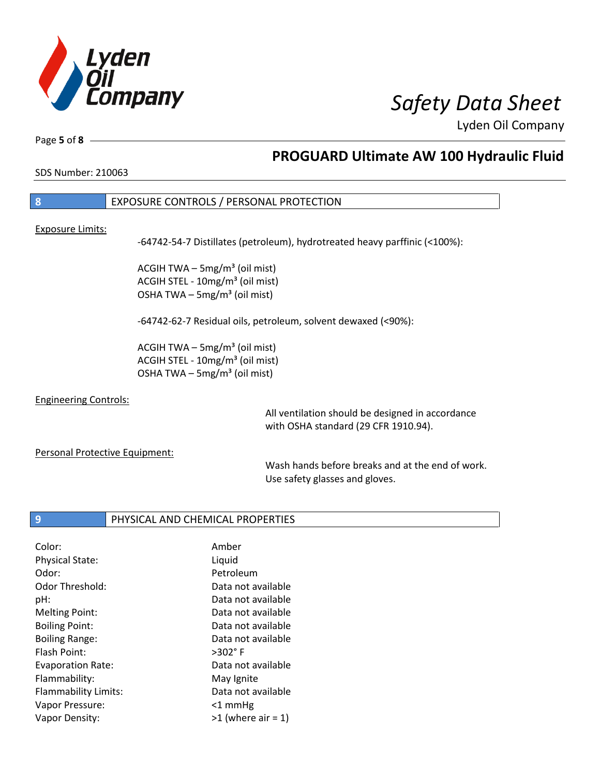

Page **5** of **8**

## **PROGUARD Ultimate AW 100 Hydraulic Fluid**

SDS Number: 210063

### **8** EXPOSURE CONTROLS / PERSONAL PROTECTION

### Exposure Limits:

-64742-54-7 Distillates (petroleum), hydrotreated heavy parffinic (<100%):

ACGIH TWA  $-$  5mg/m<sup>3</sup> (oil mist) ACGIH STEL - 10mg/m<sup>3</sup> (oil mist) OSHA TWA  $-$  5mg/m<sup>3</sup> (oil mist)

-64742-62-7 Residual oils, petroleum, solvent dewaxed (<90%):

ACGIH TWA  $-$  5mg/m<sup>3</sup> (oil mist) ACGIH STEL - 10mg/m<sup>3</sup> (oil mist) OSHA TWA – 5mg/m $3$  (oil mist)

### Engineering Controls:

All ventilation should be designed in accordance with OSHA standard (29 CFR 1910.94).

### Personal Protective Equipment:

Wash hands before breaks and at the end of work. Use safety glasses and gloves.

### **9** PHYSICAL AND CHEMICAL PROPERTIES

| Amber                |
|----------------------|
| Liquid               |
| Petroleum            |
| Data not available   |
| Data not available   |
| Data not available   |
| Data not available   |
| Data not available   |
| $>302^\circ$ F       |
| Data not available   |
| May Ignite           |
| Data not available   |
| $<$ 1 mmHg           |
| $>1$ (where air = 1) |
|                      |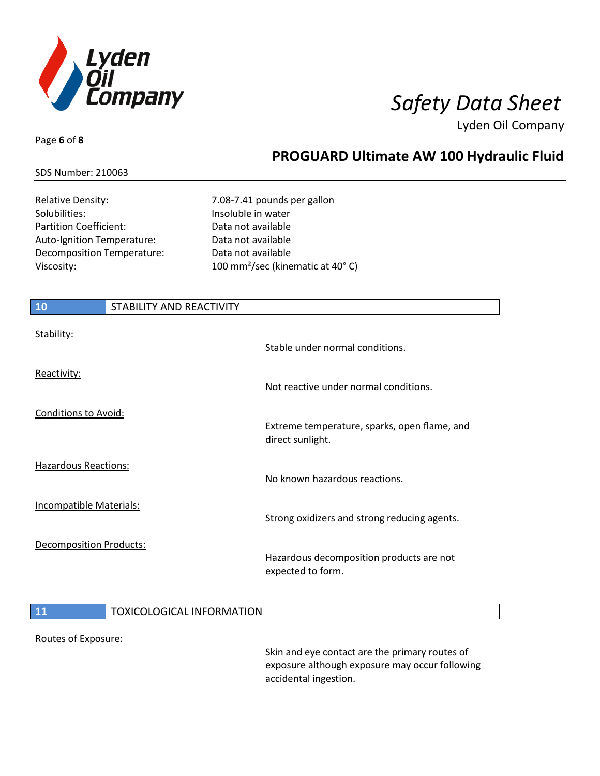

**PROGUARD Ultimate AW 100 Hydraulic Fluid**

Lyden Oil Company

### SDS Number: 210063

Page **6** of **8**

Relative Density: The Matter of the 7.08-7.41 pounds per gallon Solubilities: Insoluble in water Partition Coefficient: Data not available Auto-Ignition Temperature: Data not available Decomposition Temperature: Data not available

Viscosity: 100 mm²/sec (kinematic at 40° C)

# **10** STABILITY AND REACTIVITY Stability: Stable under normal conditions. Reactivity: Not reactive under normal conditions. Conditions to Avoid: Extreme temperature, sparks, open flame, and direct sunlight. Hazardous Reactions: No known hazardous reactions. Incompatible Materials: Strong oxidizers and strong reducing agents. Decomposition Products: Hazardous decomposition products are not expected to form.

### 11 | TOXICOLOGICAL INFORMATION

### Routes of Exposure:

Skin and eye contact are the primary routes of exposure although exposure may occur following accidental ingestion.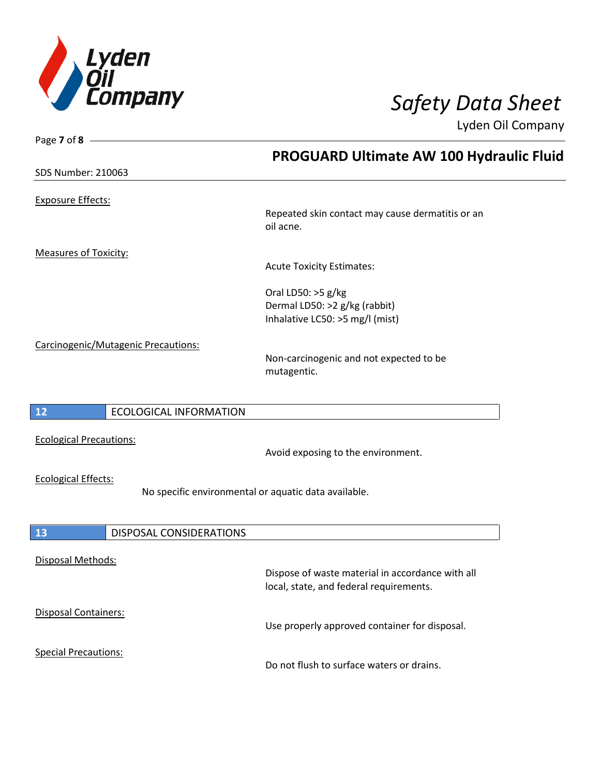

| Page $7$ of $8$ -                   |                                                      |
|-------------------------------------|------------------------------------------------------|
|                                     | PROGUARD Ultimate AW 100 Hydraulic Fluid             |
| <b>SDS Number: 210063</b>           |                                                      |
|                                     |                                                      |
| <b>Exposure Effects:</b>            |                                                      |
|                                     | Repeated skin contact may cause dermatitis or an     |
|                                     | oil acne.                                            |
|                                     |                                                      |
| <b>Measures of Toxicity:</b>        |                                                      |
|                                     | <b>Acute Toxicity Estimates:</b>                     |
|                                     | Oral LD50: >5 g/kg                                   |
|                                     | Dermal LD50: >2 g/kg (rabbit)                        |
|                                     |                                                      |
|                                     | Inhalative LC50: >5 mg/l (mist)                      |
| Carcinogenic/Mutagenic Precautions: |                                                      |
|                                     | Non-carcinogenic and not expected to be              |
|                                     | mutagentic.                                          |
|                                     |                                                      |
|                                     |                                                      |
| 12<br><b>ECOLOGICAL INFORMATION</b> |                                                      |
|                                     |                                                      |
| <b>Ecological Precautions:</b>      | Avoid exposing to the environment.                   |
|                                     |                                                      |
| <b>Ecological Effects:</b>          |                                                      |
|                                     | No specific environmental or aquatic data available. |
|                                     |                                                      |
|                                     |                                                      |
| 13<br>DISPOSAL CONSIDERATIONS       |                                                      |
|                                     |                                                      |
| Disposal Methods:                   |                                                      |
|                                     | Dispose of waste material in accordance with all     |
|                                     | local, state, and federal requirements.              |
| Disposal Containers:                |                                                      |
|                                     | Use properly approved container for disposal.        |
|                                     |                                                      |
| <b>Special Precautions:</b>         |                                                      |
|                                     | Do not flush to surface waters or drains.            |
|                                     |                                                      |